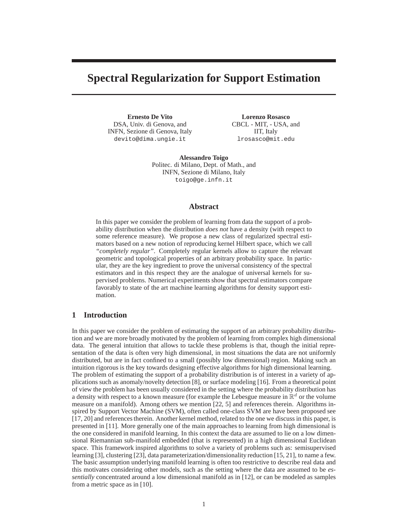# **Spectral Regularization for Support Estimation**

**Ernesto De Vito** DSA, Univ. di Genova, and INFN, Sezione di Genova, Italy devito@dima.ungie.it

**Lorenzo Rosasco** CBCL - MIT, - USA, and IIT, Italy lrosasco@mit.edu

**Alessandro Toigo** Politec. di Milano, Dept. of Math., and INFN, Sezione di Milano, Italy toigo@ge.infn.it

## **Abstract**

In this paper we consider the problem of learning from data the support of a probability distribution when the distribution *does not* have a density (with respect to some reference measure). We propose a new class of regularized spectral estimators based on a new notion of reproducing kernel Hilbert space, which we call *"completely regular"*. Completely regular kernels allow to capture the relevant geometric and topological properties of an arbitrary probability space. In particular, they are the key ingredient to prove the universal consistency of the spectral estimators and in this respect they are the analogue of universal kernels for supervised problems. Numerical experiments show that spectral estimators compare favorably to state of the art machine learning algorithms for density support estimation.

## **1 Introduction**

In this paper we consider the problem of estimating the support of an arbitrary probability distribution and we are more broadly motivated by the problem of learning from complex high dimensional data. The general intuition that allows to tackle these problems is that, though the initial representation of the data is often very high dimensional, in most situations the data are not uniformly distributed, but are in fact confined to a small (possibly low dimensional) region. Making such an intuition rigorous is the key towards designing effective algorithms for high dimensional learning. The problem of estimating the support of a probability distribution is of interest in a variety of applications such as anomaly/novelty detection [8], or surface modeling [16]. From a theoretical point of view the problem has been usually considered in the setting where the probability distribution has a density with respect to a known measure (for example the Lebesgue measure in  $\mathbb{R}^d$  or the volume measure on a manifold). Among others we mention [22, 5] and references therein. Algorithms inspired by Support Vector Machine (SVM), often called one-class SVM are have been proposed see [17, 20] and references therein. Another kernel method, related to the one we discuss in this paper, is presented in [11]. More generally one of the main approaches to learning from high dimensional is the one considered in manifold learning. In this context the data are assumed to lie on a low dimensional Riemannian sub-manifold embedded (that is represented) in a high dimensional Euclidean space. This framework inspired algorithms to solve a variety of problems such as: semisupervised learning [3], clustering [23], data parameterization/dimensionality reduction [15, 21], to name a few. The basic assumption underlying manifold learning is often too restrictive to describe real data and this motivates considering other models, such as the setting where the data are assumed to be *essentially* concentrated around a low dimensional manifold as in [12], or can be modeled as samples from a metric space as in [10].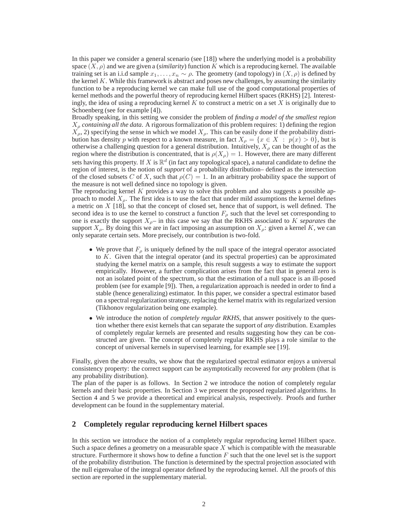In this paper we consider a general scenario (see [18]) where the underlying model is a probability space  $(X, \rho)$  and we are given a *(similarity)* function K which is a reproducing kernel. The available training set is an i.i.d sample  $x_1, \ldots, x_n \sim \rho$ . The geometry (and topology) in  $(X, \rho)$  is defined by the kernel  $K$ . While this framework is abstract and poses new challenges, by assuming the similarity function to be a reproducing kernel we can make full use of the good computational properties of kernel methods and the powerful theory of reproducing kernel Hilbert spaces (RKHS) [2]. Interestingly, the idea of using a reproducing kernel  $K$  to construct a metric on a set  $X$  is originally due to Schoenberg (see for example [4]).

Broadly speaking, in this setting we consider the problem of *finding a model of the smallest region*  $X_\rho$  *containing all the data*. A rigorous formalization of this problem requires: 1) defining the region  $X_{\rho}$ , 2) specifying the sense in which we model  $X_{\rho}$ . This can be easily done if the probability distribution has density p with respect to a known measure, in fact  $X_{\rho} = \{x \in X : p(x) > 0\}$ , but is otherwise a challenging question for a general distribution. Intuitively,  $X_\rho$  can be thought of as the region where the distribution is concentrated, that is  $\rho(X_\rho) = 1$ . However, there are many different sets having this property. If X is  $\mathbb{R}^d$  (in fact any topological space), a natural candidate to define the region of interest, is the notion of *support* of a probability distribution– defined as the intersection of the closed subsets C of X, such that  $\rho(C) = 1$ . In an arbitrary probability space the support of the measure is not well defined since no topology is given.

The reproducing kernel K provides a way to solve this problem and also suggests a possible approach to model  $X_{\rho}$ . The first idea is to use the fact that under mild assumptions the kernel defines a metric on  $X$  [18], so that the concept of closed set, hence that of support, is well defined. The second idea is to use the kernel to construct a function  $F_{\rho}$  such that the level set corresponding to one is exactly the support  $X_{\rho}$ – in this case we say that the RKHS associated to K *separates* the support  $X_\rho$ . By doing this we are in fact imposing an assumption on  $X_\rho$ : given a kernel K, we can only separate certain sets. More precisely, our contribution is two-fold.

- We prove that  $F_{\rho}$  is uniquely defined by the null space of the integral operator associated to K. Given that the integral operator (and its spectral properties) can be approximated studying the kernel matrix on a sample, this result suggests a way to estimate the support empirically. However, a further complication arises from the fact that in general zero is not an isolated point of the spectrum, so that the estimation of a null space is an ill-posed problem (see for example [9]). Then, a regularization approach is needed in order to find a stable (hence generalizing) estimator. In this paper, we consider a spectral estimator based on a spectral regularization strategy, replacing the kernel matrix with its regularized version (Tikhonov regularization being one example).
- We introduce the notion of *completely regular RKHS*, that answer positively to the question whether there exist kernels that can separate the support of *any* distribution. Examples of completely regular kernels are presented and results suggesting how they can be constructed are given. The concept of completely regular RKHS plays a role similar to the concept of universal kernels in supervised learning, for example see [19].

Finally, given the above results, we show that the regularized spectral estimator enjoys a universal consistency property: the correct support can be asymptotically recovered for *any* problem (that is any probability distribution).

The plan of the paper is as follows. In Section 2 we introduce the notion of completely regular kernels and their basic properties. In Section 3 we present the proposed regularized algorithms. In Section 4 and 5 we provide a theoretical and empirical analysis, respectively. Proofs and further development can be found in the supplementary material.

## **2 Completely regular reproducing kernel Hilbert spaces**

In this section we introduce the notion of a completely regular reproducing kernel Hilbert space. Such a space defines a geometry on a measurable space  $X$  which is compatible with the measurable structure. Furthermore it shows how to define a function  $F$  such that the one level set is the support of the probability distribution. The function is determined by the spectral projection associated with the null eigenvalue of the integral operator defined by the reproducing kernel. All the proofs of this section are reported in the supplementary material.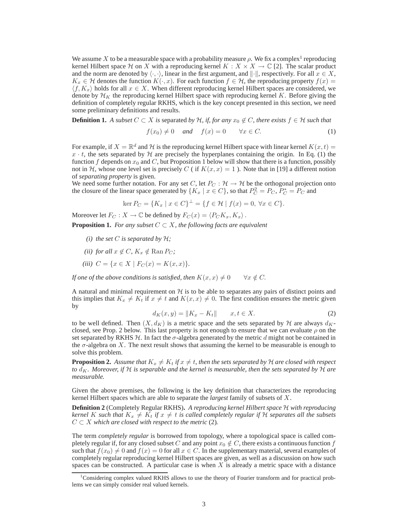We assume X to be a measurable space with a probability measure  $\rho$ . We fix a complex<sup>1</sup> reproducing kernel Hilbert space H on X with a reproducing kernel  $K : X \times X \to \mathbb{C}$  [2]. The scalar product and the norm are denoted by  $\langle \cdot, \cdot \rangle$ , linear in the first argument, and  $\|\cdot\|$ , respectively. For all  $x \in X$ ,  $K_x \in \mathcal{H}$  denotes the function  $K(\cdot, x)$ . For each function  $f \in \mathcal{H}$ , the reproducing property  $f(x) =$  $\langle f, K_x \rangle$  holds for all  $x \in X$ . When different reproducing kernel Hilbert spaces are considered, we denote by  $\mathcal{H}_K$  the reproducing kernel Hilbert space with reproducing kernel K. Before giving the definition of completely regular RKHS, which is the key concept presented in this section, we need some preliminary definitions and results.

**Definition 1.** *A subset*  $C \subset X$  *is* separated *by*  $H$ *, if, for any*  $x_0 \notin C$ *, there exists*  $f \in H$  *such that* 

$$
f(x_0) \neq 0 \quad \text{and} \quad f(x) = 0 \qquad \forall x \in C. \tag{1}
$$

For example, if  $X = \mathbb{R}^d$  and  $\mathcal H$  is the reproducing kernel Hilbert space with linear kernel  $K(x, t) =$  $x \cdot t$ , the sets separated by H are precisely the hyperplanes containing the origin. In Eq. (1) the function f depends on  $x_0$  and C, but Proposition 1 below will show that there is a function, possibly not in H, whose one level set is precisely C (if  $K(x, x) = 1$ ). Note that in [19] a different notion of *separating property* is given.

We need some further notation. For any set C, let  $P_C : \mathcal{H} \to \mathcal{H}$  be the orthogonal projection onto the closure of the linear space generated by  $\{K_x \mid x \in C\}$ , so that  $P_C^2 = P_C$ ,  $P_C^* = P_C$  and

$$
\ker P_C = \{ K_x \mid x \in C \}^{\perp} = \{ f \in \mathcal{H} \mid f(x) = 0, \ \forall x \in C \}.
$$

Moreover let  $F_C : X \to \mathbb{C}$  be defined by  $F_C(x) = \langle P_C K_x, K_x \rangle$ .

**Proposition 1.** *For any subset*  $C \subset X$ *, the following facts are equivalent* 

- *(i)* the set C is separated by  $H$ ;
- *(ii)* for all  $x \notin C$ ,  $K_x \notin \text{Ran } P_C$ ;
- *(iii)*  $C = \{x \in X \mid F_C(x) = K(x, x)\}.$

*If one of the above conditions is satisfied, then*  $K(x, x) \neq 0 \quad \forall x \notin C$ .

A natural and minimal requirement on  $H$  is to be able to separates any pairs of distinct points and this implies that  $K_x \neq K_t$  if  $x \neq t$  and  $K(x, x) \neq 0$ . The first condition ensures the metric given by

$$
d_K(x, y) = \|K_x - K_t\| \qquad x, t \in X. \tag{2}
$$

to be well defined. Then  $(X, d_K)$  is a metric space and the sets separated by H are always  $d_K$ closed, see Prop. 2 below. This last property is not enough to ensure that we can evaluate  $\rho$  on the set separated by RKHS  $H$ . In fact the  $\sigma$ -algebra generated by the metric d might not be contained in the  $\sigma$ -algebra on X. The next result shows that assuming the kernel to be measurable is enough to solve this problem.

**Proposition 2.** Assume that  $K_x \neq K_t$  *if*  $x \neq t$ *, then the sets separated by* H *are closed with respect to*  $d_K$ . Moreover, if H is separable and the kernel is measurable, then the sets separated by H are *measurable.*

Given the above premises, the following is the key definition that characterizes the reproducing kernel Hilbert spaces which are able to separate the *largest* family of subsets of X.

**Definition 2** (Completely Regular RKHS)**.** *A reproducing kernel Hilbert space* H *with reproducing kernel* K such that  $K_x \neq K_t$  *if*  $x \neq t$  *is called completely regular if* H *separates all the subsets*  $C \subset X$  *which are closed with respect to the metric* (2).

The term *completely regular* is borrowed from topology, where a topological space is called completely regular if, for any closed subset C and any point  $x_0 \notin C$ , there exists a continuous function f such that  $f(x_0) \neq 0$  and  $f(x) = 0$  for all  $x \in C$ . In the supplementary material, several examples of completely regular reproducing kernel Hilbert spaces are given, as well as a discussion on how such spaces can be constructed. A particular case is when  $X$  is already a metric space with a distance

<sup>&</sup>lt;sup>1</sup>Considering complex valued RKHS allows to use the theory of Fourier transform and for practical problems we can simply consider real valued kernels.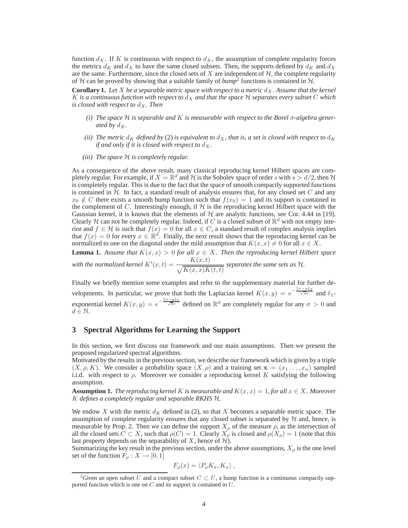function  $d_X$ . If K is continuous with respect to  $d_X$ , the assumption of complete regularity forces the metrics  $d_K$  and  $d_X$  to have the same closed subsets. Then, the supports defined by  $d_K$  and  $d_X$ are the same. Furthermore, since the closed sets of  $X$  are independent of  $H$ , the complete regularity of H can be proved by showing that a suitable family of  $bump^2$  functions is contained in H.

**Corollary 1.** Let X be a separable metric space with respect to a metric  $d_X$ . Assume that the kernel K is a continuous function with respect to  $d_X$  and that the space  $H$  separates every subset  $C$  which *is closed with respect to*  $d_X$ . Then

- *(i) The space* H *is separable and* K *is measurable with respect to the Borel* σ*-algebra generated by*  $d_X$ .
- *(ii)* The metric  $d_K$  defined by (2) is equivalent to  $d_K$ , that is, a set is closed with respect to  $d_K$ *if and only if it is closed with respect to*  $d_X$ *.*
- *(iii) The space* H *is completely regular.*

As a consequence of the above result, many classical reproducing kernel Hilbert spaces are completely regular. For example, if  $X = \mathbb{R}^d$  and H is the Sobolev space of order s with  $s > d/2$ , then H is completely regular. This is due to the fact that the space of smooth compactly supported functions is contained in  $H$ . In fact, a standard result of analysis ensures that, for any closed set  $C$  and any  $x_0 \notin C$  there exists a smooth bump function such that  $f(x_0) = 1$  and its support is contained in the complement of  $C$ . Interestingly enough, if  $H$  is the reproducing kernel Hilbert space with the Gaussian kernel, it is known that the elements of  $H$  are analytic functions, see Cor. 4.44 in [19]. Clearly H can not be completely regular. Indeed, if C is a closed subset of  $\mathbb{R}^d$  with not empty interior and  $f \in \mathcal{H}$  is such that  $f(x) = 0$  for all  $x \in C$ , a standard result of complex analysis implies that  $f(x) = 0$  for every  $x \in \mathbb{R}^d$ . Finally, the next result shows that the reproducing kernel can be normalized to one on the diagonal under the mild assumption that  $K(x, x) \neq 0$  for all  $x \in X$ .

**Lemma 1.** Assume that  $K(x, x) > 0$  for all  $x \in X$ . Then the reproducing kernel Hilbert space with the normalized kernel  $K'(x,t) = \frac{K(x,t)}{\sqrt{K(x,x)K(t,t)}}$  separates the same sets as  $\mathcal{H}$ .

Finally we briefly mention some examples and refer to the supplementary material for further developments. In particular, we prove that both the Laplacian kernel  $K(x, y) = e^{-\frac{|x-y||_2}{\sqrt{2}\sigma}}$  and  $\ell_1$ exponential kernel  $K(x, y) = e^{-\frac{||x - y||_1}{\sqrt{2}\sigma}}$  defined on  $\mathbb{R}^d$  are completely regular for any  $\sigma > 0$  and  $d \in \mathbb{N}$ .

## **3 Spectral Algorithms for Learning the Support**

In this section, we first discuss our framework and our main assumptions. Then we present the proposed regularized spectral algorithms.

Motivated by the results in the previous section, we describe our framework which is given by a triple  $(X, \rho, K)$ . We consider a probability space  $(X, \rho)$  and a training set  $\mathbf{x} = (x_1, \ldots, x_n)$  sampled i.i.d. with respect to  $\rho$ . Moreover we consider a reproducing kernel K satisfying the following assumption.

**Assumption 1.** *The reproducing kernel* K *is measurable and*  $K(x, x) = 1$ *, for all*  $x \in X$ *. Moreover* K *defines a completely regular and separable RKHS* H*.*

We endow X with the metric  $d_K$  defined in (2), so that X becomes a separable metric space. The assumption of complete regularity ensures that any closed subset is separated by  $H$  and, hence, is measurable by Prop. 2. Then we can define the support  $X_{\rho}$  of the measure  $\rho$ , as the intersection of all the closed sets  $C \subset X$ , such that  $\rho(C) = 1$ . Clearly  $X_\rho$  is closed and  $\rho(X_\rho) = 1$  (note that this last property depends on the separability of X, hence of  $H$ ).

Summarizing the key result in the previous section, under the above assumptions,  $X_{\rho}$  is the one level set of the function  $F_{\rho}: X \to [0,1]$ 

$$
F_{\rho}(x) = \langle P_{\rho} K_x, K_x \rangle \,,
$$

<sup>&</sup>lt;sup>2</sup>Given an open subset U and a compact subset  $C \subset U$ , a bump function is a continuous compactly supported function which is one on  $C$  and its support is contained in  $U$ .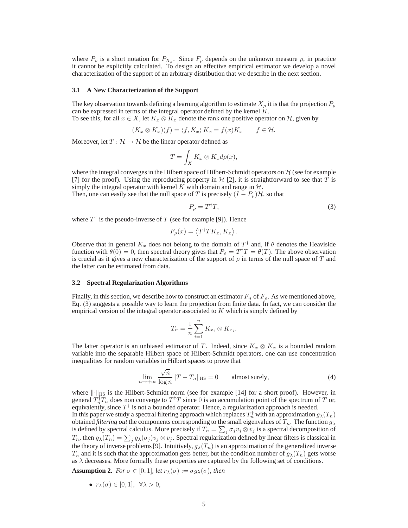where  $P_{\rho}$  is a short notation for  $P_{X_{\rho}}$ . Since  $F_{\rho}$  depends on the unknown measure  $\rho$ , in practice it cannot be explicitly calculated. To design an effective empirical estimator we develop a novel characterization of the support of an arbitrary distribution that we describe in the next section.

#### **3.1 A New Characterization of the Support**

The key observation towards defining a learning algorithm to estimate  $X_{\rho}$  it is that the projection  $P_{\rho}$ can be expressed in terms of the integral operator defined by the kernel  $K$ .

To see this, for all  $x \in X$ , let  $K_x \otimes K_x$  denote the rank one positive operator on H, given by

$$
(K_x \otimes K_x)(f) = \langle f, K_x \rangle K_x = f(x)K_x \qquad f \in \mathcal{H}.
$$

Moreover, let  $T : \mathcal{H} \to \mathcal{H}$  be the linear operator defined as

$$
T = \int_X K_x \otimes K_x d\rho(x),
$$

where the integral converges in the Hilbert space of Hilbert-Schmidt operators on  $H$  (see for example [7] for the proof). Using the reproducing property in  $H$  [2], it is straightforward to see that T is simply the integral operator with kernel  $K$  with domain and range in  $H$ .

Then, one can easily see that the null space of T is precisely  $(I - P_{\rho})\mathcal{H}$ , so that

$$
P_{\rho} = T^{\dagger}T,\tag{3}
$$

where  $T^{\dagger}$  is the pseudo-inverse of T (see for example [9]). Hence

$$
F_{\rho}(x) = \langle T^{\dagger} T K_x, K_x \rangle.
$$

Observe that in general  $K_x$  does not belong to the domain of  $T^{\dagger}$  and, if  $\theta$  denotes the Heaviside function with  $\theta(\bar{0}) = 0$ , then spectral theory gives that  $P_{\rho} = T^{\dagger}T = \theta(T)$ . The above observation is crucial as it gives a new characterization of the support of  $\rho$  in terms of the null space of T and the latter can be estimated from data.

#### **3.2 Spectral Regularization Algorithms**

Finally, in this section, we describe how to construct an estimator  $F_n$  of  $F_\rho$ . As we mentioned above, Eq. (3) suggests a possible way to learn the projection from finite data. In fact, we can consider the empirical version of the integral operator associated to  $K$  which is simply defined by

$$
T_n = \frac{1}{n} \sum_{i=1}^n K_{x_i} \otimes K_{x_i}.
$$

The latter operator is an unbiased estimator of T. Indeed, since  $K_x \otimes K_x$  is a bounded random variable into the separable Hilbert space of Hilbert-Schmidt operators, one can use concentration inequalities for random variables in Hilbert spaces to prove that

$$
\lim_{n \to +\infty} \frac{\sqrt{n}}{\log n} \|T - T_n\|_{\text{HS}} = 0 \qquad \text{almost surely}, \tag{4}
$$

where  $\|\cdot\|_{\text{HS}}$  is the Hilbert-Schmidt norm (see for example [14] for a short proof). However, in general  $T_n^{\dagger}T_n$  does non converge to  $T^{\dagger}T$  since 0 is an accumulation point of the spectrum of T or, equivalently, since  $T^{\dagger}$  is not a bounded operator. Hence, a regularization approach is needed. In this paper we study a spectral filtering approach which replaces  $T_n^{\dagger}$  with an approximation  $g_{\lambda}(T_n)$ obtained *filtering out* the components corresponding to the small eigenvalues of  $T_n$ . The function  $g_{\lambda}$ is defined by spectral calculus. More precisely if  $T_n = \sum_j \sigma_j v_j \otimes v_j$  is a spectral decomposition of  $T_n$ , then  $g_\lambda(T_n) = \sum_j g_\lambda(\sigma_j) v_j \otimes v_j$ . Spectral regularization defined by linear filters is classical in the theory of inverse problems [9]. Intuitively,  $g_{\lambda}(T_n)$  is an approximation of the generalized inverse  $T_n^{\dagger}$  and it is such that the approximation gets better, but the condition number of  $g_{\lambda}(T_n)$  gets worse as  $\lambda$  decreases. More formally these properties are captured by the following set of conditions.

**Assumption 2.** *For*  $\sigma \in [0,1]$ *, let*  $r_{\lambda}(\sigma) := \sigma g_{\lambda}(\sigma)$ *, then* 

• 
$$
r_{\lambda}(\sigma) \in [0,1], \ \forall \lambda > 0,
$$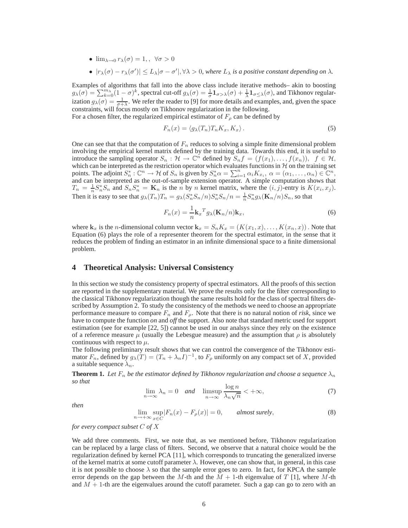- $\lim_{\lambda\to 0} r_\lambda(\sigma) = 1, \quad \forall \sigma > 0$
- $|r_{\lambda}(\sigma) r_{\lambda}(\sigma')| \leq L_{\lambda} |\sigma \sigma'|$ ,  $\forall \lambda > 0$ , where  $L_{\lambda}$  is a positive constant depending on  $\lambda$ .

Examples of algorithms that fall into the above class include iterative methods– akin to boosting  $g_{\lambda}(\sigma) = \sum_{k=0}^{m_{\lambda}} (1-\sigma)^k$ , spectral cut-off  $g_{\lambda}(\sigma) = \frac{1}{\sigma} \mathbf{1}_{\sigma > \lambda}(\sigma) + \frac{1}{\lambda} \mathbf{1}_{\sigma \leq \lambda}(\sigma)$ , and Tikhonov regularization  $g_{\lambda}(\sigma) = \frac{1}{\sigma + \lambda}$ . We refer the reader to [9] for more details and examples, and, given the space constraints, will focus mostly on Tikhonov regularization in the following.

For a chosen filter, the regularized empirical estimator of  $F_\rho$  can be defined by

$$
F_n(x) = \langle g_\lambda(T_n) T_n K_x, K_x \rangle.
$$
 (5)

One can see that that the computation of  $F_n$  reduces to solving a simple finite dimensional problem involving the empirical kernel matrix defined by the training data. Towards this end, it is useful to introduce the sampling operator  $S_n : \mathcal{H} \to \mathbb{C}^n$  defined by  $S_n f = (f(x_1), \ldots, f(x_n)), \ f \in \mathcal{H}$ , which can be interpreted as the restriction operator which evaluates functions in  $H$  on the training set points. The adjoint  $S_n^* : \mathbb{C}^n \to H$  of  $S_n$  is given by  $S_n^* \alpha = \sum_{i=1}^n \alpha_i K_{x_i}, \alpha = (\alpha_1, \dots, \alpha_n) \in \mathbb{C}^n$ , and can be interpreted as the out-of-sample extension operator. A simple computation shows that  $T_n = \frac{1}{n} S_n^* S_n$  and  $S_n S_n^* = \mathbf{K}_n$  is the n by n kernel matrix, where the  $(i, j)$ -entry is  $K(x_i, x_j)$ . Then it is easy to see that  $g_{\lambda}(T_n)T_n = g_{\lambda}(S_n^*S_n/n)S_n^*S_n/n = \frac{1}{n}S_n^*g_{\lambda}(\mathbf{K}_n/n)S_n$ , so that

$$
F_n(x) = \frac{1}{n} \mathbf{k}_x^T g_\lambda(\mathbf{K}_n/n) \mathbf{k}_x,
$$
\n(6)

where  $\mathbf{k}_x$  is the *n*-dimensional column vector  $\mathbf{k}_x = S_n K_x = (K(x_1, x), \dots, K(x_n, x))$ . Note that Equation (6) plays the role of a representer theorem for the spectral estimator, in the sense that it reduces the problem of finding an estimator in an infinite dimensional space to a finite dimensional problem.

## **4 Theoretical Analysis: Universal Consistency**

In this section we study the consistency property of spectral estimators. All the proofs of this section are reported in the supplementary material. We prove the results only for the filter corresponding to the classical Tikhonov regularization though the same results hold for the class of spectral filters described by Assumption 2. To study the consistency of the methods we need to choose an appropriate performance measure to compare  $F_n$  and  $F_\rho$ . Note that there is no natural notion of *risk*, since we have to compute the function *on* and *off* the support. Also note that standard metric used for support estimation (see for example [22, 5]) cannot be used in our analsys since they rely on the existence of a reference measure  $\mu$  (usually the Lebesgue measure) and the assumption that  $\rho$  is absolutely continuous with respect to  $\mu$ .

The following preliminary result shows that we can control the convergence of the Tikhonov estimator  $F_n$ , defined by  $g_\lambda(T) = (T_n + \lambda_n I)^{-1}$ , to  $F_\rho$  uniformly on any compact set of X, provided a suitable sequence  $\lambda_n$ .

**Theorem 1.** Let  $F_n$  be the estimator defined by Tikhonov regularization and choose a sequence  $\lambda_n$ *so that*

$$
\lim_{n \to \infty} \lambda_n = 0 \quad \text{and} \quad \limsup_{n \to \infty} \frac{\log n}{\lambda_n \sqrt{n}} < +\infty,\tag{7}
$$

*then*

$$
\lim_{n \to +\infty} \sup_{x \in C} |F_n(x) - F_\rho(x)| = 0, \qquad \text{almost surely}, \tag{8}
$$

*for every compact subset* C *of* X

We add three comments. First, we note that, as we mentioned before, Tikhonov regularization can be replaced by a large class of filters. Second, we observe that a natural choice would be the regularization defined by kernel PCA [11], which corresponds to truncating the generalized inverse of the kernel matrix at some cutoff parameter  $\lambda$ . However, one can show that, in general, in this case it is not possible to choose  $\lambda$  so that the sample error goes to zero. In fact, for KPCA the sample error depends on the gap between the M-th and the  $M + 1$ -th eigenvalue of T [1], where M-th and  $M + 1$ -th are the eigenvalues around the cutoff parameter. Such a gap can go to zero with an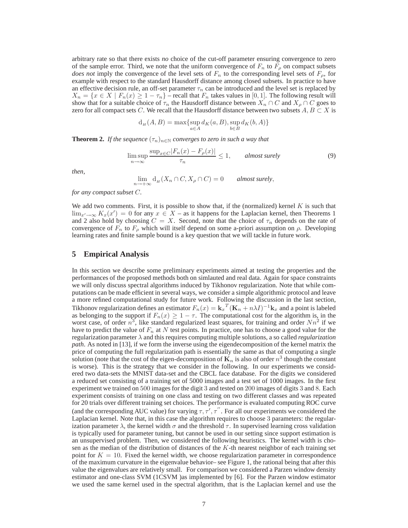arbitrary rate so that there exists *no* choice of the cut-off parameter ensuring convergence to zero of the sample error. Third, we note that the uniform convergence of  $F_n$  to  $F_\rho$  on compact subsets *does not* imply the convergence of the level sets of  $F_n$  to the corresponding level sets of  $F_\rho$ , for example with respect to the standard Hausdorff distance among closed subsets. In practice to have an effective decision rule, an off-set parameter  $\tau_n$  can be introduced and the level set is replaced by  $X_n = \{x \in X \mid F_n(x) \geq 1 - \tau_n\}$  – recall that  $F_n$  takes values in [0, 1]. The following result will show that for a suitable choice of  $\tau_n$  the Hausdorff distance between  $X_n \cap C$  and  $X_0 \cap C$  goes to zero for all compact sets C. We recall that the Hausdorff distance between two subsets  $A, B \subset X$  is

$$
d_H(A, B) = \max \{ \sup_{a \in A} d_K(a, B), \sup_{b \in B} d_K(b, A) \}
$$

**Theorem 2.** *If the sequence*  $(\tau_n)_{n \in \mathbb{N}}$  *converges to zero in such a way that* 

$$
\limsup_{n \to \infty} \frac{\sup_{x \in C} |F_n(x) - F_\rho(x)|}{\tau_n} \le 1, \qquad \text{almost surely} \tag{9}
$$

*then,*

$$
\lim_{n \to +\infty} d_H(X_n \cap C, X_\rho \cap C) = 0 \qquad \text{almost surely},
$$

*for any compact subset* C*.*

We add two comments. First, it is possible to show that, if the (normalized) kernel  $K$  is such that  $\lim_{x'\to\infty} K_x(x') = 0$  for any  $x \in X$  – as it happens for the Laplacian kernel, then Theorems 1 and 2 also hold by choosing  $C = X$ . Second, note that the choice of  $\tau_n$  depends on the rate of convergence of  $F_n$  to  $F_p$  which will itself depend on some a-priori assumption on  $\rho$ . Developing learning rates and finite sample bound is a key question that we will tackle in future work.

## **5 Empirical Analysis**

In this section we describe some preliminary experiments aimed at testing the properties and the performances of the proposed methods both on simlauted and real data. Again for space constraints we will only discuss spectral algorithms induced by Tikhonov regularization. Note that while computations can be made efficient in several ways, we consider a simple algorithmic protocol and leave a more refined computational study for future work. Following the discussion in the last section, Tikhonov regularization defines an estimator  $F_n(x) = \mathbf{k}_x{}^T (\mathbf{K}_n + n\lambda I)^{-1} \mathbf{k}_x$  and a point is labeled as belonging to the support if  $F_n(x) \geq 1 - \tau$ . The computational cost for the algorithm is, in the worst case, of order  $n^3$ , like standard regularized least squares, for training and order  $Nn^2$  if we have to predict the value of  $F_n$  at N test points. In practice, one has to choose a good value for the regularization parameter λ and this requires computing multiple solutions, a so called *regularization path*. As noted in [13], if we form the inverse using the eigendecomposition of the kernel matrix the price of computing the full regularization path is essentially the same as that of computing a single solution (note that the cost of the eigen-decomposition of  $\mathbf{K}_n$  is also of order  $n^3$  though the constant is worse). This is the strategy that we consider in the following. In our experiments we considered two data-sets the MNIST data-set and the CBCL face database. For the digits we considered a reduced set consisting of a training set of 5000 images and a test set of 1000 images. In the first experiment we trained on 500 images for the digit 3 and tested on 200 images of digits 3 and 8. Each experiment consists of training on one class and testing on two different classes and was repeated for 20 trials over different training set choices. The performance is evaluated computing ROC curve (and the corresponding AUC value) for varying  $\tau, \tau', \tau''$ . For all our experiments we considered the Laplacian kernel. Note that, in this case the algorithm requires to choose 3 parameters: the regularization parameter  $\lambda$ , the kernel width  $\sigma$  and the threshold  $\tau$ . In supervised learning cross validation is typically used for parameter tuning, but cannot be used in our setting since support estimation is an unsupervised problem. Then, we considered the following heuristics. The kernel width is chosen as the median of the distribution of distances of the  $K$ -th nearest neighbor of each training set point for  $K = 10$ . Fixed the kernel width, we choose regularization parameter in correspondence of the maximum curvature in the eigenvalue behavior– see Figure 1, the rational being that after this value the eigenvalues are relatively small. For comparison we considered a Parzen window density estimator and one-class SVM (1CSVM )as implemented by [6]. For the Parzen window estimator we used the same kernel used in the spectral algorithm, that is the Laplacian kernel and use the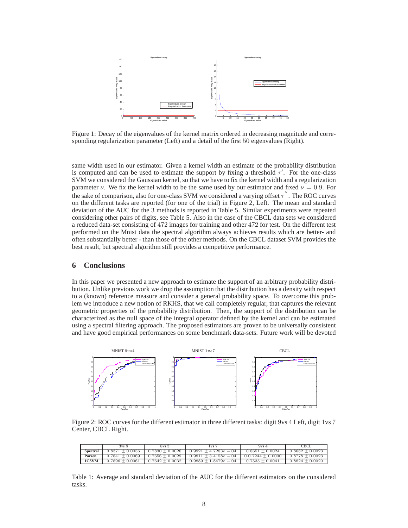

Figure 1: Decay of the eigenvalues of the kernel matrix ordered in decreasing magnitude and corresponding regularization parameter (Left) and a detail of the first 50 eigenvalues (Right).

same width used in our estimator. Given a kernel width an estimate of the probability distribution is computed and can be used to estimate the support by fixing a threshold  $\tau'$ . For the one-class SVM we considered the Gaussian kernel, so that we have to fix the kernel width and a regularization parameter v. We fix the kernel width to be the same used by our estimator and fixed  $\nu = 0.9$ . For the sake of comparison, also for one-class SVM we considered a varying offset  $\tau''$  . The ROC curves on the different tasks are reported (for one of the trial) in Figure 2, Left. The mean and standard deviation of the AUC for the 3 methods is reported in Table 5. Similar experiments were repeated considering other pairs of digits, see Table 5. Also in the case of the CBCL data sets we considered a reduced data-set consisting of 472 images for training and other 472 for test. On the different test performed on the Mnist data the spectral algorithm always achieves results which are better- and often substantially better - than those of the other methods. On the CBCL dataset SVM provides the best result, but spectral algorithm still provides a competitive performance.

## **6 Conclusions**

In this paper we presented a new approach to estimate the support of an arbitrary probability distribution. Unlike previous work we drop the assumption that the distribution has a density with respect to a (known) reference measure and consider a general probability space. To overcome this problem we introduce a new notion of RKHS, that we call completely regular, that captures the relevant geometric properties of the probability distribution. Then, the support of the distribution can be characterized as the null space of the integral operator defined by the kernel and can be estimated using a spectral filtering approach. The proposed estimators are proven to be universally consistent and have good empirical performances on some benchmark data-sets. Future work will be devoted



Figure 2: ROC curves for the different estimator in three different tasks: digit 9vs 4 Left, digit 1vs 7 Center, CBCL Right.

|                 | $3vs$ 8             | $8vs$ 3             | 1 vs 7                    | 9vs4                | <b>CBCI</b>         |
|-----------------|---------------------|---------------------|---------------------------|---------------------|---------------------|
| <b>Spectral</b> | $0.8371 \pm 0.0056$ | $0.7830 \pm 0.0026$ | $0.9921 \pm 4.7283e - 04$ | $0.8651 \pm 0.0024$ | $0.8682 \pm 0.0023$ |
| Parzen          | $0.7841 \pm 0.0069$ | $0.7656 \pm 0.0029$ | $0.9811 \pm 3.4158e - 04$ | $0.0.7244 + 0.0030$ | $0.8778 \pm 0.0023$ |
| 1CSVM           | $0.7896 \pm 0.0061$ | $0.7642 \pm 0.0032$ | $0.9889 \pm 1.8479e - 04$ | $0.7535 \pm 0.0041$ | $0.8824 \pm 0.0020$ |

Table 1: Average and standard deviation of the AUC for the different estimators on the considered tasks.